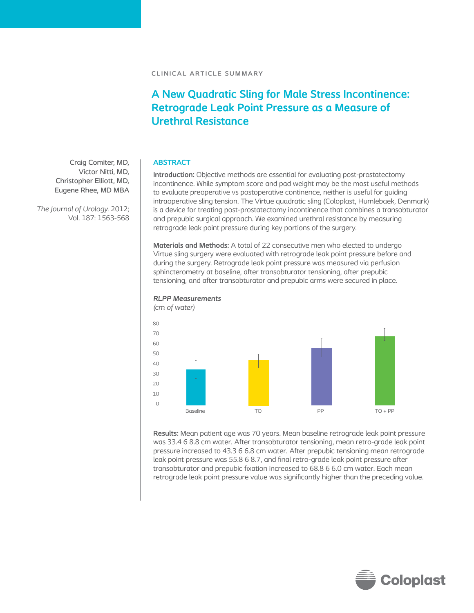# **A New Quadratic Sling for Male Stress Incontinence: Retrograde Leak Point Pressure as a Measure of Urethral Resistance**

## **ABSTRACT**

**Introduction:** Objective methods are essential for evaluating post-prostatectomy incontinence. While symptom score and pad weight may be the most useful methods to evaluate preoperative vs postoperative continence, neither is useful for guiding intraoperative sling tension. The Virtue quadratic sling (Coloplast, Humlebaek, Denmark) is a device for treating post-prostatectomy incontinence that combines a transobturator and prepubic surgical approach. We examined urethral resistance by measuring retrograde leak point pressure during key portions of the surgery.

**Materials and Methods:** A total of 22 consecutive men who elected to undergo Virtue sling surgery were evaluated with retrograde leak point pressure before and during the surgery. Retrograde leak point pressure was measured via perfusion sphincterometry at baseline, after transobturator tensioning, after prepubic tensioning, and after transobturator and prepubic arms were secured in place.



# *RLPP Measurements*

**Results:** Mean patient age was 70 years. Mean baseline retrograde leak point pressure was 33.4 6 8.8 cm water. After transobturator tensioning, mean retro-grade leak point pressure increased to 43.3 6 6.8 cm water. After prepubic tensioning mean retrograde leak point pressure was 55.8 6 8.7, and final retro-grade leak point pressure after transobturator and prepubic fixation increased to 68.8 6 6.0 cm water. Each mean retrograde leak point pressure value was significantly higher than the preceding value.

Craig Comiter, MD, Victor Nitti, MD, Christopher Elliott, MD, Eugene Rhee, MD MBA

*The Journal of Urology.* 2012; Vol. 187: 1563-568